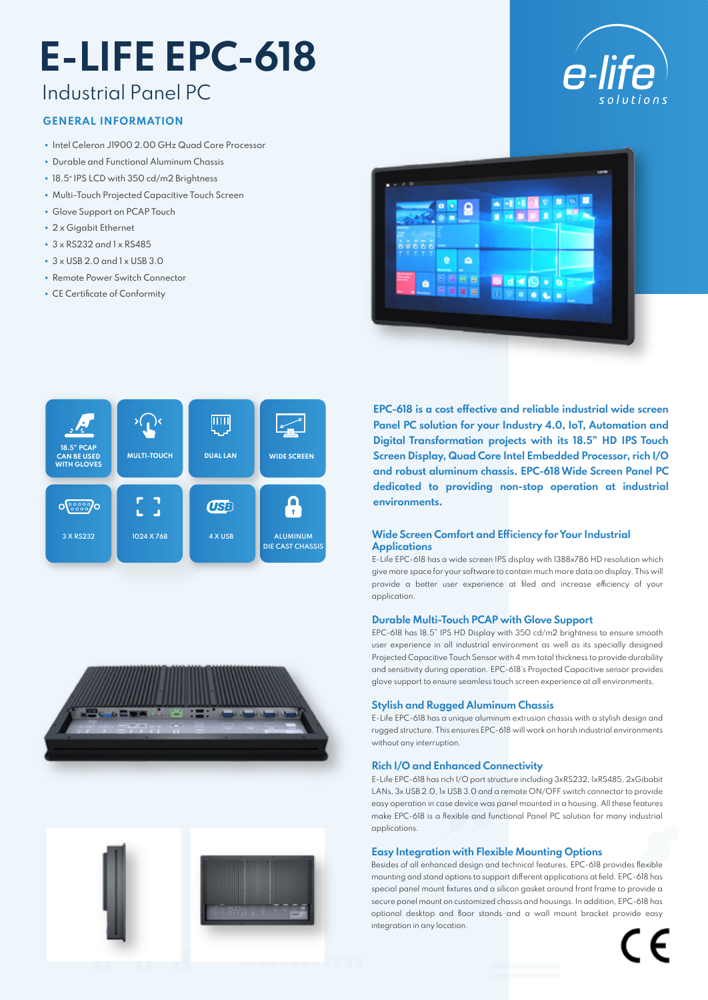# **E-LIFE EPC-618**

## Industrial Panel PC

#### **GENERAL INFORMATION**

- Intel Celeron J1900 2.00 GHz Quad Core Processor
- Durable and Functional Aluminum Chassis
- 18.5" IPS LCD with 350 cd/m2 Brightness
- Multi-Touch Projected Capacitive Touch Screen
- Glove Support on PCAP Touch
- 2 x Giaabit Ethernet
- 3 x RS232 and 1 x RS485
- $\cdot$  3 x USB 2.0 and 1 x USB 3.0
- Remote Power Switch Connector
- CE Certificate of Conformity







**EPC-618 is a cost effective and reliable industrial wide screen Panel PC solution for your Industry 4.0, IoT, Automation and Digital Transformation projects with its 18.5" HD IPS Touch Screen Display, Quad Core Intel Embedded Processor, rich I/O and robust aluminum chassis. EPC-618 Wide Screen Panel PC dedicated to providing non-stop operation at industrial environments.**

# **Applications**

E-Life EPC-618 has a wide screen IPS display with 1388x786 HD resolution which give more space for your software to contain much more data on display. This will provide a better user experience at filed and increase efficiency of your application.

#### **Durable Multi-Touch PCAP with Glove Support**

EPC-618 has 18.5" IPS HD Display with 350 cd/m2 brightness to ensure smooth user experience in all industrial environment as well as its specially designed Projected Capacitive Touch Sensor with 4 mm total thickness to provide durability and sensitivity during operation. EPC-618's Projected Capacitive sensor provides glove support to ensure seamless touch screen experience at all environments.

#### **Stylish and Rugged Aluminum Chassis**

E-Life EPC-618 has a unique aluminum extrusion chassis with a stylish design and rugged structure. This ensures EPC-618 will work on harsh industrial environments without any interruption.

#### **Rich I/O and Enhanced Connectivity**

E-Life EPC-618 has rich I/O port structure including 3xRS232, 1xRS485, 2xGibabit LANs, 3x USB 2.0, 1x USB 3.0 and a remote ON/OFF switch connector to provide easy operation in case device was panel mounted in a housing. All these features make EPC-618 is a flexible and functional Panel PC solution for many industrial applications.

#### **Easy Integration with Flexible Mounting Options**

Besides of all enhanced design and technical features, EPC-618 provides flexible mounting and stand options to support different applications at field. EPC-618 has special panel mount fixtures and a silicon gasket around front frame to provide a secure panel mount on customized chassis and housings. In addition, EPC-618 has optional desktop and floor stands and a wall mount bracket provide easy integration in any location.

 $\epsilon$